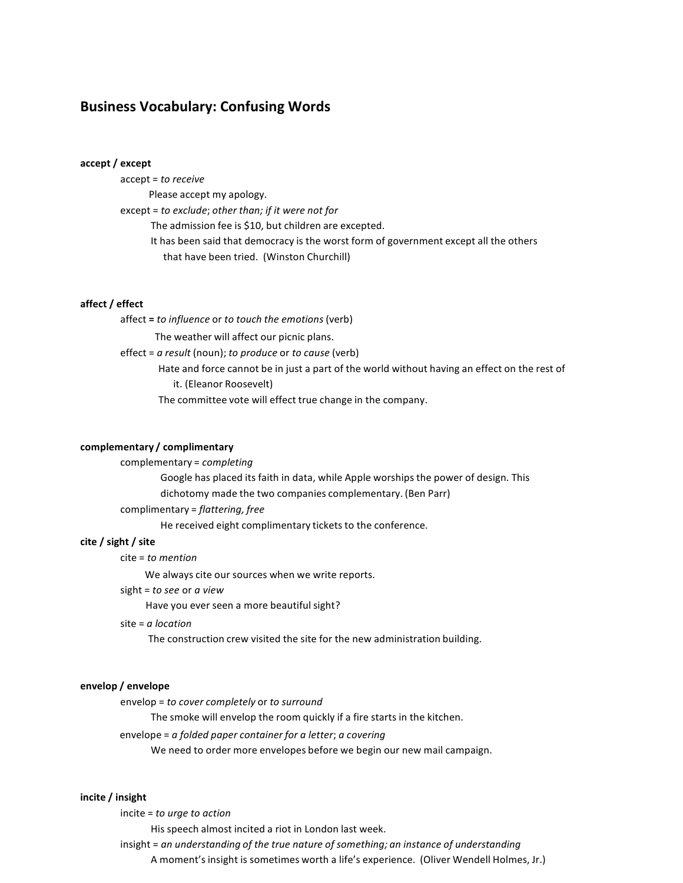# **Business Vocabulary: Confusing Words**

#### **accept / except**

 accept = *to receive*

 Please accept my apology.

  except = *to exclude*; *other than; if it were not for*

 The admission fee is \$10, but children are excepted.

It has been said that democracy is the worst form of government except all the others that have been tried. (Winston Churchill)

#### **affect / effect**

 affect **=** *to influence* or *to touch the emotions* (verb)

 The weather will affect our picnic plans.

  effect = *a result* (noun); *to produce* or *to cause* (verb)

Hate and force cannot be in just a part of the world without having an effect on the rest of it. (Eleanor Roosevelt)

 The committee vote will effect true change in the company.

#### **complementary / complimentary**

## complementary = *completing*

 Google has placed its faith in data, while Apple worships the power of design. This dichotomy made the two companies complementary. (Ben Parr) complimentary = *flattering, free*

 He received eight complimentary tickets to the conference.

#### **cite / sight / site**

 cite = *to mention*

 We always cite our sources when we write reports.

 sight = *to see* or *a view*

Have you ever seen a more beautiful sight?

 site = *a location*

 The construction crew visited the site for the new administration building.

## **envelop / envelope**

  envelop = *to cover completely* or *to surround*

 The smoke will envelop the room quickly if a fire starts in the kitchen.

  envelope = *a folded paper container for a letter*; *a covering*

 We need to order more envelopes before we begin our new mail campaign.

## **incite / insight**

  incite = *to urge to action*

His speech almost incited a riot in London last week.

 insight = *an understanding of the true nature of something; an instance of understanding*

A moment's insight is sometimes worth a life's experience. (Oliver Wendell Holmes, Jr.)